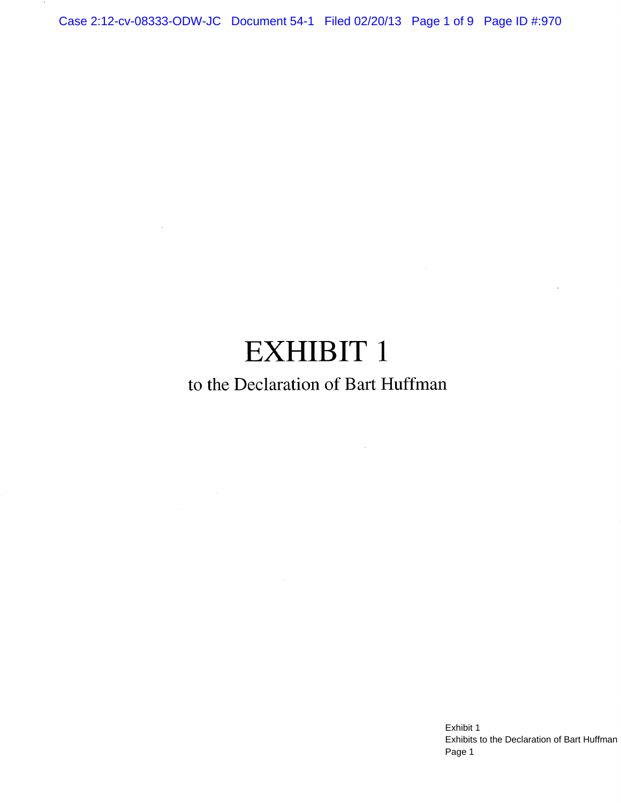Case 2:12-cv-08333-ODW-JC Document 54-1 Filed 02/20/13 Page 1 of 9 Page ID #:970

# **EXHIBIT 1**

 $\sim$ 

# to the Declaration of Bart Huffman

 $\sim 10$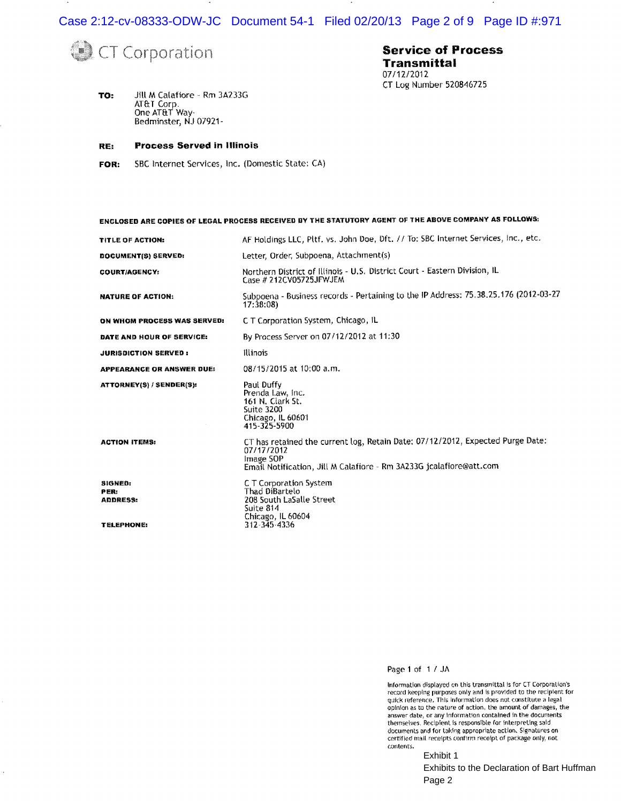Case 2:12-cv-08333-ODW-JC Document 54-1 Filed 02/20/13 Page 2 of 9 Page ID #:971

**Service of Process** 

CT Log Number 520846725

**Transmittal** 07/12/2012



 $\ddot{\phantom{0}}$ 

TO: Jill M Calafiore - Rm 3A233G AT&T Corp.<br>One AT&T Way-Bedminster, NJ 07921-

#### **Process Served in Illinois** RE:

SBC Internet Services, Inc. (Domestic State: CA) FOR:

### ENCLOSED ARE COPIES OF LEGAL PROCESS RECEIVED BY THE STATUTORY AGENT OF THE ABOVE COMPANY AS FOLLOWS:

| TITLE OF ACTION:                                        | AF Holdings LLC, Pltf. vs. John Doe, Dft. // To: SBC Internet Services, Inc., etc.                                                                                               |
|---------------------------------------------------------|----------------------------------------------------------------------------------------------------------------------------------------------------------------------------------|
| DOCUMENT(S) SERVED:                                     | Letter, Order, Subpoena, Attachment(s)                                                                                                                                           |
| <b>COURT/AGENCY:</b>                                    | Northern District of Illinois - U.S. District Court - Eastern Division, IL<br>Case # 212CV05725JFWJEM                                                                            |
| NATURE OF ACTION:                                       | Subpoena - Business records - Pertaining to the IP Address: 75.38.25.176 (2012-03-27<br>17:38:08                                                                                 |
| ON WHOM PROCESS WAS SERVED:                             | C. T. Corporation System, Chicago, IL                                                                                                                                            |
| DATE AND HOUR OF SERVICE:                               | By Process Server on 07/12/2012 at 11:30                                                                                                                                         |
| <b>JURISDICTION SERVED:</b>                             | <b>Illinois</b>                                                                                                                                                                  |
| APPEARANCE OR ANSWER DUE:                               | 08/15/2015 at 10:00 a.m.                                                                                                                                                         |
| ATTORNEY(S) / SENDER(S):                                | Paul Duffy<br>Prenda Law, Inc.<br>161 N. Clark St.<br><b>Suite 3200</b><br>Chicago, IL 60601<br>415-325-5900                                                                     |
| <b>ACTION ITEMS:</b>                                    | CT has retained the current log, Retain Date: 07/12/2012, Expected Purge Date:<br>07/17/2012<br>Image SOP<br>Email Notification, Jill M Calafiore - Rm 3A233G jcalafiore@att.com |
| SIGNED:<br>PER:<br><b>ADDRESS:</b><br><b>TELEPHONE:</b> | C.T. Corporation System<br>Thad DiBartelo<br>208 South LaSalle Street<br>Suite 814<br>Chicago, IL 60604<br>312-345-4336                                                          |

Page 1 of 1/JA

Information displayed on this transmittal is for CT Corporation's<br>record keeping purposes only and is provided to the recipient for<br>quick reference. This information does not constitute a legal opinion as to the nature of action, the amount of damages, the answer date, or any information contained in the documents themselves. Recipient is responsible for interpreting said documents and for taking appropriate action. Signatures on certified mail receipts confirm receipt of package only, not contents.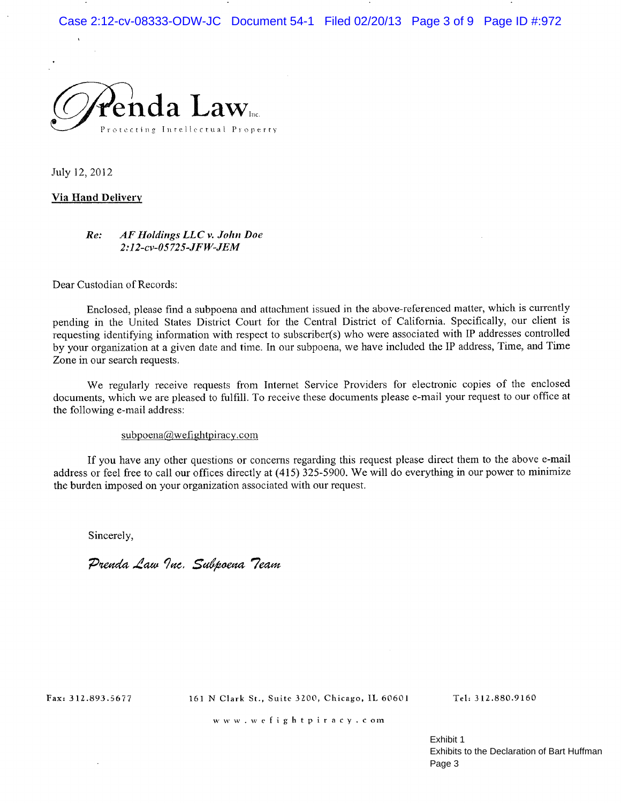Case 2:12-cv-08333-ODW-JC Document 54-1 Filed 02/20/13 Page 3 of 9 Page ID #:972



July 12, 2012

### **Via Hand Delivery**

#### AF Holdings LLC v. John Doe  $Re:$ 2:12-cv-05725-JFW-JEM

Dear Custodian of Records:

Enclosed, please find a subpoena and attachment issued in the above-referenced matter, which is currently pending in the United States District Court for the Central District of California. Specifically, our client is requesting identifying information with respect to subscriber(s) who were associated with IP addresses controlled by your organization at a given date and time. In our subpoena, we have included the IP address, Time, and Time Zone in our search requests.

We regularly receive requests from Internet Service Providers for electronic copies of the enclosed documents, which we are pleased to fulfill. To receive these documents please e-mail your request to our office at the following e-mail address:

### subpoena@wefightpiracy.com

If you have any other questions or concerns regarding this request please direct them to the above e-mail address or feel free to call our offices directly at (415) 325-5900. We will do everything in our power to minimize the burden imposed on your organization associated with our request.

Sincerely,

Prenda Law Inc. Subpoena Team

Fax: 312.893.5677

161 N Clark St., Suite 3200, Chicago, IL 60601

Tel: 312.880.9160

www.wefightpiracy.com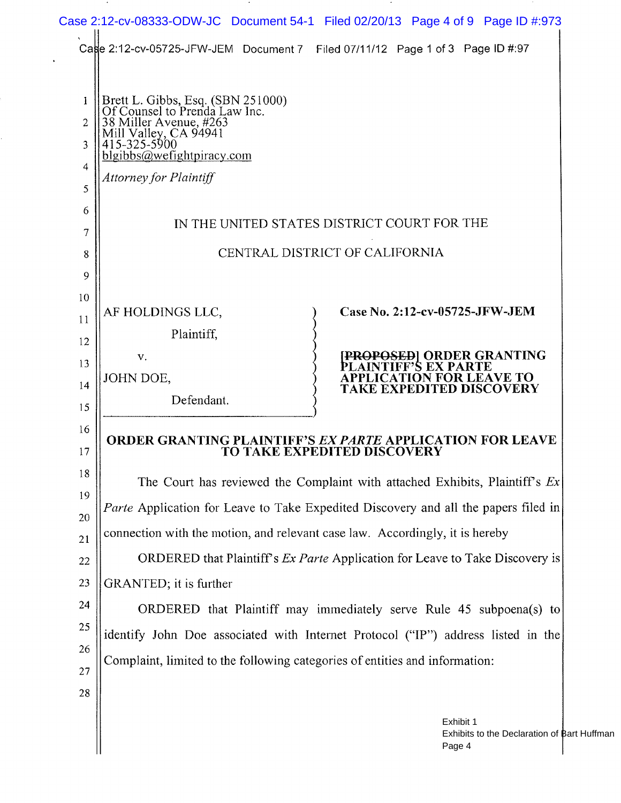|                                                                                              | Cage 2:12-cv-05725-JFW-JEM Document 7 Filed 07/11/12 Page 1 of 3 Page ID #:97                   |  |
|----------------------------------------------------------------------------------------------|-------------------------------------------------------------------------------------------------|--|
|                                                                                              |                                                                                                 |  |
| Brett L. Gibbs, Esq. (SBN 251000)<br>Of Counsel to Prenda Law Inc.<br>38 Miller Avenue, #263 |                                                                                                 |  |
| ill Valley, CA 94941<br>415-325-5900                                                         |                                                                                                 |  |
| $b$ lgibbs@wefightpiracy.com                                                                 |                                                                                                 |  |
| Attorney for Plaintiff                                                                       |                                                                                                 |  |
|                                                                                              |                                                                                                 |  |
| IN THE UNITED STATES DISTRICT COURT FOR THE                                                  |                                                                                                 |  |
| CENTRAL DISTRICT OF CALIFORNIA                                                               |                                                                                                 |  |
|                                                                                              |                                                                                                 |  |
|                                                                                              |                                                                                                 |  |
| AF HOLDINGS LLC,                                                                             | Case No. 2:12-cv-05725-JFW-JEM                                                                  |  |
| Plaintiff,                                                                                   |                                                                                                 |  |
| $V_{\star}$                                                                                  | <b>PROPOSED  ORDER GRANTING</b>                                                                 |  |
| JOHN DOE,                                                                                    | <b>CATION FOR LEAVE TO</b><br>TAKE EXPEDITED DISCOVERY                                          |  |
| Defendant.                                                                                   |                                                                                                 |  |
|                                                                                              |                                                                                                 |  |
|                                                                                              | <b>ORDER GRANTING PLAINTIFF'S EX PARTE APPLICATION FOR LEAVE</b><br>TO TAKE EXPEDITED DISCOVERY |  |
|                                                                                              | The Court has reviewed the Complaint with attached Exhibits, Plaintiff's $Ex$                   |  |
|                                                                                              | Parte Application for Leave to Take Expedited Discovery and all the papers filed in             |  |
|                                                                                              | connection with the motion, and relevant case law. Accordingly, it is hereby                    |  |
| ORDERED that Plaintiff's <i>Ex Parte</i> Application for Leave to Take Discovery is          |                                                                                                 |  |
| GRANTED; it is further                                                                       |                                                                                                 |  |
|                                                                                              | ORDERED that Plaintiff may immediately serve Rule 45 subpoena(s) to                             |  |
|                                                                                              | identify John Doe associated with Internet Protocol ("IP") address listed in the                |  |
|                                                                                              | Complaint, limited to the following categories of entities and information:                     |  |
|                                                                                              |                                                                                                 |  |
|                                                                                              |                                                                                                 |  |
|                                                                                              | Exhibit 1                                                                                       |  |

 $\sim$ 

 $\sim$ 

 $\sim 20$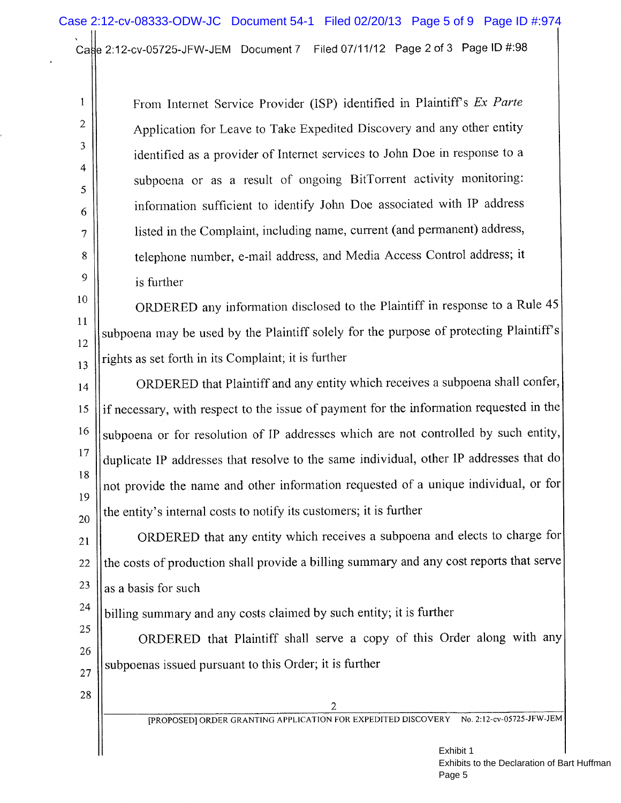Cage 2:12-cv-05725-JFW-JEM Document 7 Filed 07/11/12 Page 2 of 3 Page ID #:98

From Internet Service Provider (ISP) identified in Plaintiff's Ex Parte Application for Leave to Take Expedited Discovery and any other entity identified as a provider of Internet services to John Doe in response to a subpoena or as a result of ongoing BitTorrent activity monitoring: information sufficient to identify John Doe associated with IP address listed in the Complaint, including name, current (and permanent) address, telephone number, e-mail address, and Media Access Control address; it is further

ORDERED any information disclosed to the Plaintiff in response to a Rule 45 subpoena may be used by the Plaintiff solely for the purpose of protecting Plaintiff's  $12$ rights as set forth in its Complaint; it is further 13

ORDERED that Plaintiff and any entity which receives a subpoena shall confer, 14 if necessary, with respect to the issue of payment for the information requested in the 15 16 subpoena or for resolution of IP addresses which are not controlled by such entity, 17 duplicate IP addresses that resolve to the same individual, other IP addresses that do 18 not provide the name and other information requested of a unique individual, or for 19 the entity's internal costs to notify its customers; it is further 20

ORDERED that any entity which receives a subpoena and elects to charge for  $21$ the costs of production shall provide a billing summary and any cost reports that serve 22 23 as a basis for such

billing summary and any costs claimed by such entity; it is further

ORDERED that Plaintiff shall serve a copy of this Order along with any subpoenas issued pursuant to this Order; it is further

27 28

24

25

26

 $\mathbf{1}$ 

 $\overline{2}$ 

3

 $\overline{4}$ 

5

6

 $\overline{7}$ 

 $8\,$ 

9

10

 $11$ 

 $\overline{2}$ 

[PROPOSED] ORDER GRANTING APPLICATION FOR EXPEDITED DISCOVERY No. 2:12-cv-05725-JFW-JEM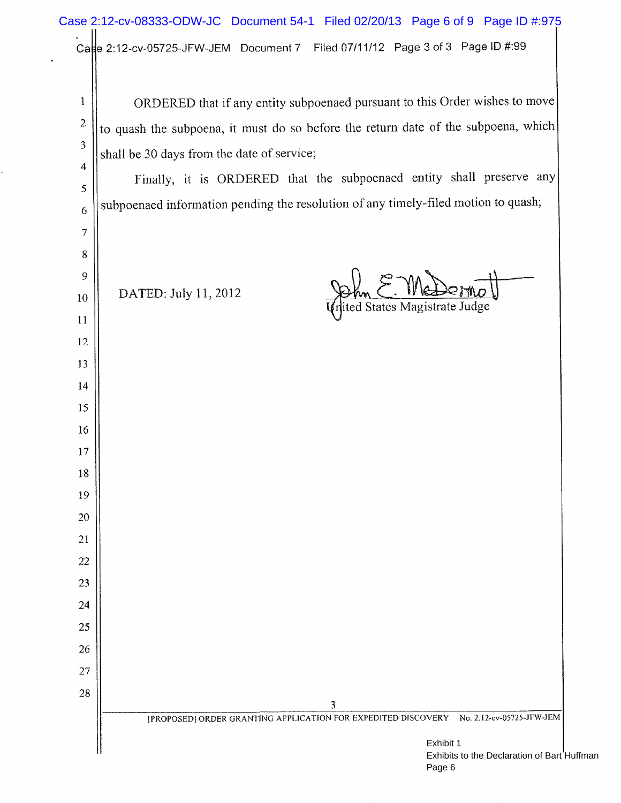# Case 2:12-cv-08333-ODW-JC Document 54-1 Filed 02/20/13 Page 6 of 9 Page ID #:975Case 2:12-cv-05725-JFW-JEM Document 7 Filed 07/11/12 Page 3 of 3 Page ID #:99

×

| 1                | ORDERED that if any entity subpoenaed pursuant to this Order wishes to move                     |  |  |  |  |  |  |
|------------------|-------------------------------------------------------------------------------------------------|--|--|--|--|--|--|
| $\boldsymbol{2}$ | to quash the subpoena, it must do so before the return date of the subpoena, which              |  |  |  |  |  |  |
| $\mathfrak{Z}$   | shall be 30 days from the date of service;                                                      |  |  |  |  |  |  |
| 4                | Finally, it is ORDERED that the subpoenaed entity shall preserve any                            |  |  |  |  |  |  |
| 5                |                                                                                                 |  |  |  |  |  |  |
| 6                | subpoenaed information pending the resolution of any timely-filed motion to quash;              |  |  |  |  |  |  |
| 7                |                                                                                                 |  |  |  |  |  |  |
| 8                |                                                                                                 |  |  |  |  |  |  |
| 9                | DATED: July 11, 2012                                                                            |  |  |  |  |  |  |
| 10<br>11         | nited States Magistrate Judge                                                                   |  |  |  |  |  |  |
| 12               |                                                                                                 |  |  |  |  |  |  |
| 13               |                                                                                                 |  |  |  |  |  |  |
| 14               |                                                                                                 |  |  |  |  |  |  |
| 15               |                                                                                                 |  |  |  |  |  |  |
| 16               |                                                                                                 |  |  |  |  |  |  |
| 17               |                                                                                                 |  |  |  |  |  |  |
| 18               |                                                                                                 |  |  |  |  |  |  |
| 19               |                                                                                                 |  |  |  |  |  |  |
| 20               |                                                                                                 |  |  |  |  |  |  |
| 21               |                                                                                                 |  |  |  |  |  |  |
| 22               |                                                                                                 |  |  |  |  |  |  |
| 23               |                                                                                                 |  |  |  |  |  |  |
| 24               |                                                                                                 |  |  |  |  |  |  |
| 25               |                                                                                                 |  |  |  |  |  |  |
| 26<br>27         |                                                                                                 |  |  |  |  |  |  |
| 28               |                                                                                                 |  |  |  |  |  |  |
|                  | 3<br>[PROPOSED] ORDER GRANTING APPLICATION FOR EXPEDITED DISCOVERY<br>No. 2:12-cv-05725-JFW-JEM |  |  |  |  |  |  |
|                  |                                                                                                 |  |  |  |  |  |  |
|                  | Exhibit 1<br>Exhibits to the Declaration of Bart H                                              |  |  |  |  |  |  |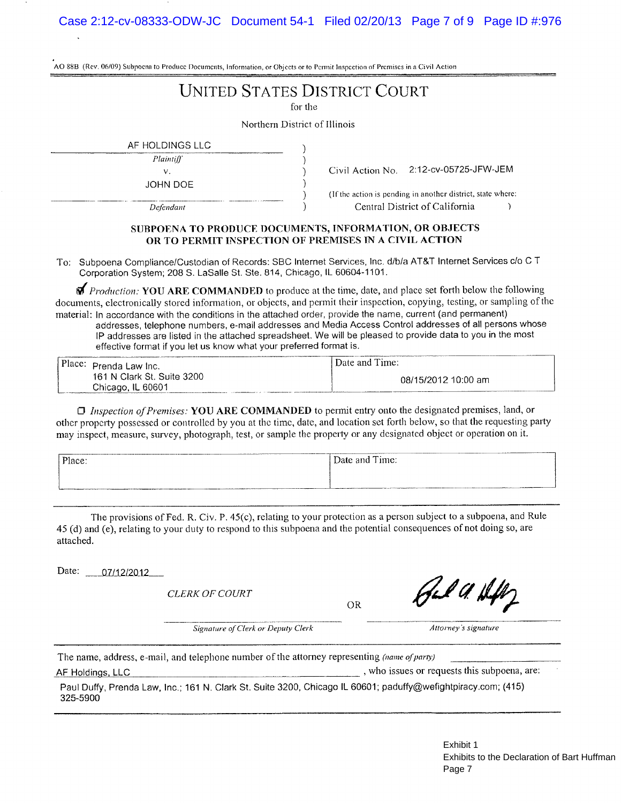|  |  | AO 88B (Rev. 06/09) Subpoena to Produce Documents, Information, or Objects or to Permit Inspection of Premises in a Civil Action |
|--|--|----------------------------------------------------------------------------------------------------------------------------------|
|--|--|----------------------------------------------------------------------------------------------------------------------------------|

## **UNITED STATES DISTRICT COURT**

for the

١

)  $\lambda$ 

 $\lambda$  $\lambda$ 

Northern District of Illinois

AF HOLDINGS LLC

Plaintiff v.

JOHN DOE

Defendant

Civil Action No. 2:12-cv-05725-JFW-JEM

(If the action is pending in another district, state where: Central District of California

### SUBPOENA TO PRODUCE DOCUMENTS, INFORMATION, OR OBJECTS OR TO PERMIT INSPECTION OF PREMISES IN A CIVIL ACTION

To: Subpoena Compliance/Custodian of Records: SBC Internet Services, Inc. d/b/a AT&T Internet Services c/o C T Corporation System; 208 S. LaSalle St. Ste. 814, Chicago, IL 60604-1101.

*Production:* YOU ARE COMMANDED to produce at the time, date, and place set forth below the following documents, electronically stored information, or objects, and permit their inspection, copying, testing, or sampling of the material: In accordance with the conditions in the attached order, provide the name, current (and permanent) addresses, telephone numbers, e-mail addresses and Media Access Control addresses of all persons whose IP addresses are listed in the attached spreadsheet. We will be pleased to provide data to you in the most effective format if you let us know what your preferred format is.

| Place: Prenda Law Inc.     | Date and Time:      |
|----------------------------|---------------------|
| 161 N Clark St. Suite 3200 | 08/15/2012 10:00 am |
| Chicago, IL 60601          |                     |

**I** Inspection of Premises: YOU ARE COMMANDED to permit entry onto the designated premises, land, or other property possessed or controlled by you at the time, date, and location set forth below, so that the requesting party may inspect, measure, survey, photograph, test, or sample the property or any designated object or operation on it.

| Place:                                                                                                                                | <b>STATISTICS</b><br>Date and Time: |
|---------------------------------------------------------------------------------------------------------------------------------------|-------------------------------------|
|                                                                                                                                       |                                     |
| <b>NAMES OF DEPOSITORS OF PERSONS ASSESSED AND DESCRIPTIONS OF PERSONS ASSESSED.</b><br>_________<br><b>Brown Address Association</b> | ______<br>_____                     |

The provisions of Fed. R. Civ. P. 45(c), relating to your protection as a person subject to a subpoena, and Rule 45 (d) and (e), relating to your duty to respond to this subpoena and the potential consequences of not doing so, are attached.

Date: 07/12/2012

**CLERK OF COURT** 

**OR** 

Feb A. H

Attorney's signature

Signature of Clerk or Deputy Clerk

The name, address, e-mail, and telephone number of the attorney representing (name of party)

AF Holdings, LLC

, who issues or requests this subpoena, are:

Paul Duffy, Prenda Law, Inc.; 161 N. Clark St. Suite 3200, Chicago IL 60601; paduffy@wefightpiracy.com; (415) 325-5900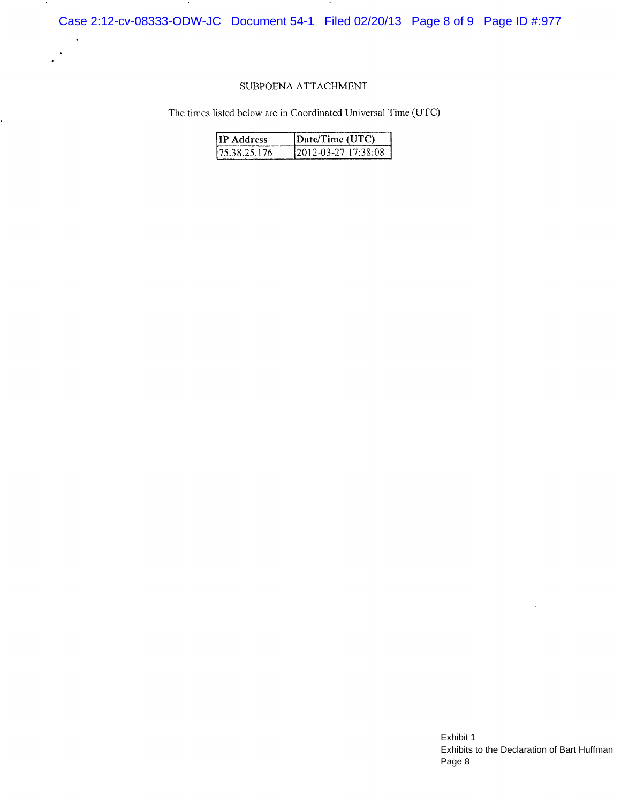Case 2:12-cv-08333-ODW-JC Document 54-1 Filed 02/20/13 Page 8 of 9 Page ID #:977

### SUBPOENA ATTACHMENT

 $\ddot{\phantom{a}}$ 

 $\ddot{\phantom{a}}$  $\cdot$ 

ć.

The times listed below are in Coordinated Universal Time (UTC)

| <b>IIP</b> Address | Date/Time (UTC)      |  |
|--------------------|----------------------|--|
| 175.38.25.176      | 12012-03-27 17:38:08 |  |